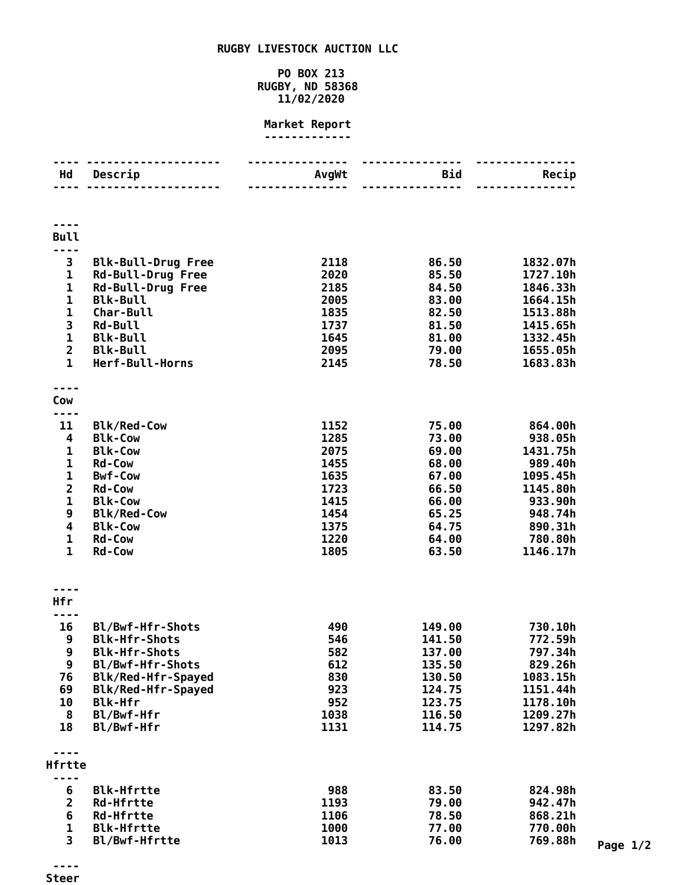## **RUGBY LIVESTOCK AUCTION LLC**

## **PO BOX 213 RUGBY, ND 58368 11/02/2020**

## **Market Report -------------**

| Hd                                      | Descrip                                              | AvgWt        | <b>Bid</b>       | Recip                |
|-----------------------------------------|------------------------------------------------------|--------------|------------------|----------------------|
|                                         |                                                      |              | ------           |                      |
| <b>Bull</b>                             |                                                      |              |                  |                      |
| ----<br>3                               | <b>Blk-Bull-Drug Free</b>                            | 2118         | 86.50            | 1832.07h             |
| $\mathbf 1$<br>1                        | <b>Rd-Bull-Drug Free</b><br><b>Rd-Bull-Drug Free</b> | 2020<br>2185 | 85.50<br>84.50   | 1727.10h<br>1846.33h |
| $\mathbf 1$                             | <b>Blk-Bull</b>                                      | 2005         | 83.00            | 1664.15h             |
| $\mathbf 1$<br>3                        | <b>Char-Bull</b><br><b>Rd-Bull</b>                   | 1835<br>1737 | 82.50<br>81.50   | 1513.88h<br>1415.65h |
| $\mathbf 1$                             | <b>Blk-Bull</b>                                      | 1645         | 81.00            | 1332.45h             |
| $\overline{2}$<br>$\mathbf{1}$          | <b>Blk-Bull</b><br>Herf-Bull-Horns                   | 2095<br>2145 | 79.00<br>78.50   | 1655.05h<br>1683.83h |
|                                         |                                                      |              |                  |                      |
| Cow                                     |                                                      |              |                  |                      |
| ----                                    |                                                      |              |                  |                      |
| 11<br>4                                 | <b>Blk/Red-Cow</b><br><b>Blk-Cow</b>                 | 1152<br>1285 | 75.00<br>73.00   | 864.00h<br>938.05h   |
| 1                                       | <b>Blk-Cow</b>                                       | 2075         | 69.00            | 1431.75h             |
| $\mathbf 1$                             | <b>Rd-Cow</b>                                        | 1455         | 68.00            | 989.40h              |
| $\mathbf{1}$<br>$\overline{\mathbf{2}}$ | <b>Bwf-Cow</b><br><b>Rd-Cow</b>                      | 1635<br>1723 | 67.00<br>66.50   | 1095.45h<br>1145.80h |
| $\mathbf{1}$                            | <b>Blk-Cow</b>                                       | 1415         | 66.00            | 933.90h              |
| 9<br>4                                  | <b>Blk/Red-Cow</b><br><b>Blk-Cow</b>                 | 1454<br>1375 | 65.25<br>64.75   | 948.74h<br>890.31h   |
| $\mathbf 1$                             | <b>Rd-Cow</b>                                        | 1220         | 64.00            | 780.80h              |
| $\mathbf{1}$                            | <b>Rd-Cow</b>                                        | 1805         | 63.50            | 1146.17h             |
| <b>Hfr</b>                              |                                                      |              |                  |                      |
| ----                                    |                                                      |              |                  |                      |
| 16<br>9                                 | Bl/Bwf-Hfr-Shots<br><b>Blk-Hfr-Shots</b>             | 490<br>546   | 149.00<br>141.50 | 730.10h<br>772.59h   |
| 9                                       | <b>Blk-Hfr-Shots</b>                                 | 582          | 137.00           | 797.34h              |
| 9                                       | Bl/Bwf-Hfr-Shots                                     | 612          | 135.50           | 829.26h              |
| 76<br>69                                | Blk/Red-Hfr-Spayed<br>Blk/Red-Hfr-Spayed             | 830<br>923   | 130.50<br>124.75 | 1083.15h<br>1151.44h |
| 10                                      | <b>Blk-Hfr</b>                                       | 952          | 123.75           | 1178.10h             |
| 8<br>18                                 | Bl/Bwf-Hfr<br>Bl/Bwf-Hfr                             | 1038<br>1131 | 116.50<br>114.75 | 1209.27h<br>1297.82h |
|                                         |                                                      |              |                  |                      |
| Hfrtte                                  |                                                      |              |                  |                      |
| 6                                       | <b>Blk-Hfrtte</b>                                    | 988          | 83.50            | 824.98h              |
| $\overline{\mathbf{c}}$                 | <b>Rd-Hfrtte</b>                                     | 1193         | 79.00            | 942.47h              |
| 6<br>1                                  | <b>Rd-Hfrtte</b><br><b>Blk-Hfrtte</b>                | 1106<br>1000 | 78.50<br>77.00   | 868.21h<br>770.00h   |
| 3                                       | Bl/Bwf-Hfrtte                                        | 1013         | 76.00            | 769.88h              |

**Page 1/2**

**---- Steer**